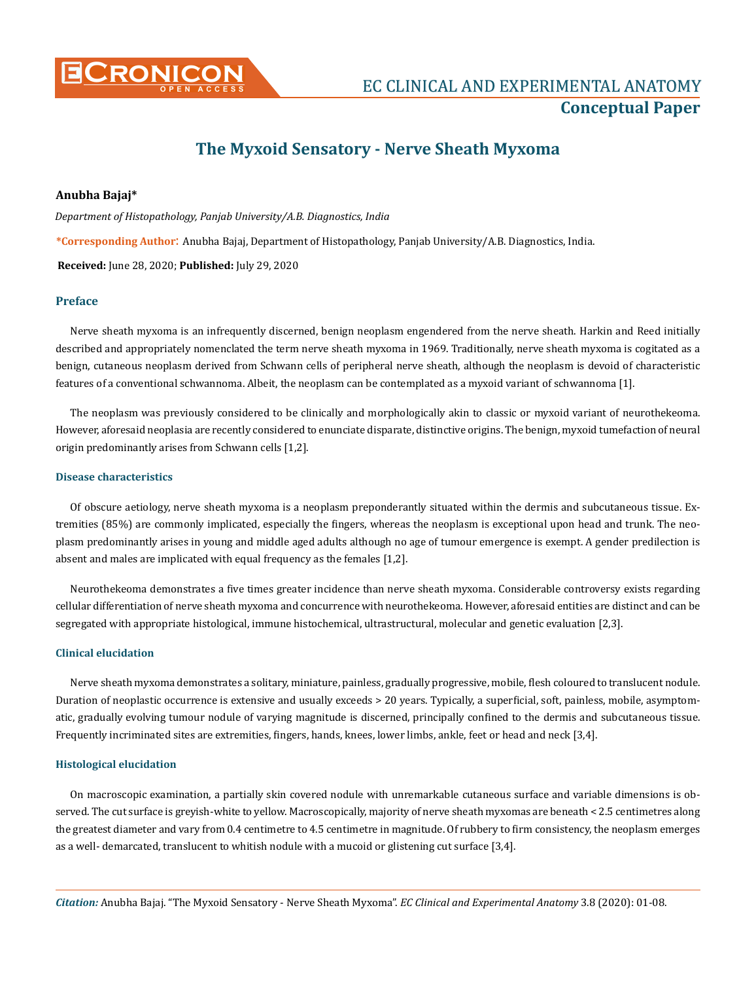

**Conceptual Paper**

# **The Myxoid Sensatory - Nerve Sheath Myxoma**

## **Anubha Bajaj\***

*Department of Histopathology, Panjab University/A.B. Diagnostics, India*

**\*Corresponding Author**: Anubha Bajaj, Department of Histopathology, Panjab University/A.B. Diagnostics, India.

**Received:** June 28, 2020; **Published:** July 29, 2020

### **Preface**

Nerve sheath myxoma is an infrequently discerned, benign neoplasm engendered from the nerve sheath. Harkin and Reed initially described and appropriately nomenclated the term nerve sheath myxoma in 1969. Traditionally, nerve sheath myxoma is cogitated as a benign, cutaneous neoplasm derived from Schwann cells of peripheral nerve sheath, although the neoplasm is devoid of characteristic features of a conventional schwannoma. Albeit, the neoplasm can be contemplated as a myxoid variant of schwannoma [1].

The neoplasm was previously considered to be clinically and morphologically akin to classic or myxoid variant of neurothekeoma. However, aforesaid neoplasia are recently considered to enunciate disparate, distinctive origins. The benign, myxoid tumefaction of neural origin predominantly arises from Schwann cells [1,2].

### **Disease characteristics**

Of obscure aetiology, nerve sheath myxoma is a neoplasm preponderantly situated within the dermis and subcutaneous tissue. Extremities (85%) are commonly implicated, especially the fingers, whereas the neoplasm is exceptional upon head and trunk. The neoplasm predominantly arises in young and middle aged adults although no age of tumour emergence is exempt. A gender predilection is absent and males are implicated with equal frequency as the females [1,2].

Neurothekeoma demonstrates a five times greater incidence than nerve sheath myxoma. Considerable controversy exists regarding cellular differentiation of nerve sheath myxoma and concurrence with neurothekeoma. However, aforesaid entities are distinct and can be segregated with appropriate histological, immune histochemical, ultrastructural, molecular and genetic evaluation [2,3].

#### **Clinical elucidation**

Nerve sheath myxoma demonstrates a solitary, miniature, painless, gradually progressive, mobile, flesh coloured to translucent nodule. Duration of neoplastic occurrence is extensive and usually exceeds > 20 years. Typically, a superficial, soft, painless, mobile, asymptomatic, gradually evolving tumour nodule of varying magnitude is discerned, principally confined to the dermis and subcutaneous tissue. Frequently incriminated sites are extremities, fingers, hands, knees, lower limbs, ankle, feet or head and neck [3,4].

#### **Histological elucidation**

On macroscopic examination, a partially skin covered nodule with unremarkable cutaneous surface and variable dimensions is observed. The cut surface is greyish-white to yellow. Macroscopically, majority of nerve sheath myxomas are beneath < 2.5 centimetres along the greatest diameter and vary from 0.4 centimetre to 4.5 centimetre in magnitude. Of rubbery to firm consistency, the neoplasm emerges as a well- demarcated, translucent to whitish nodule with a mucoid or glistening cut surface [3,4].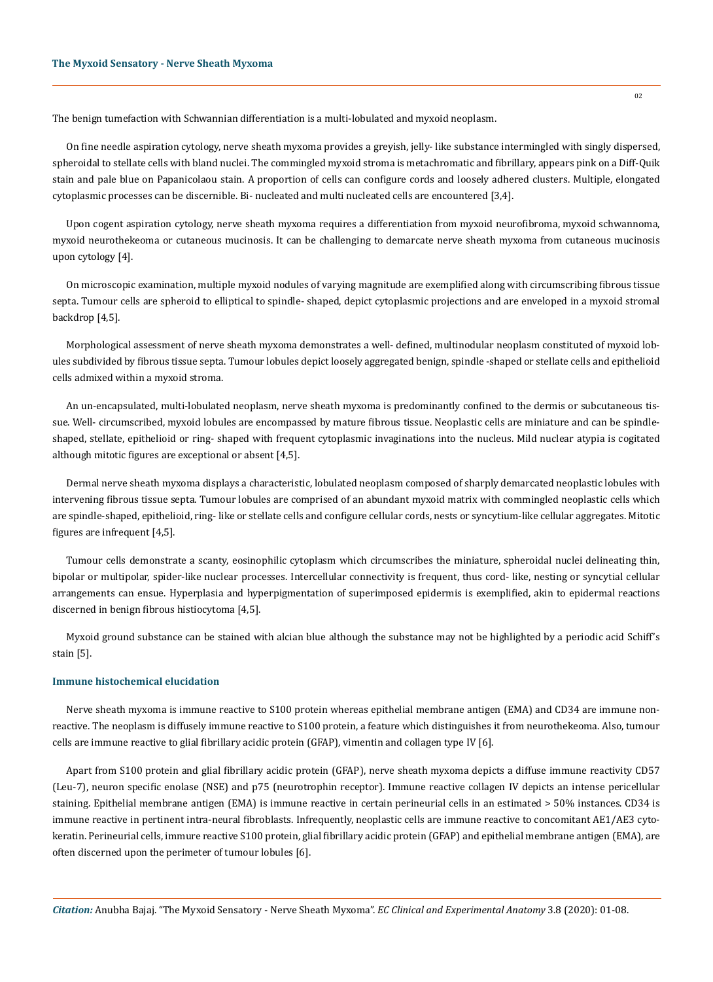The benign tumefaction with Schwannian differentiation is a multi-lobulated and myxoid neoplasm.

On fine needle aspiration cytology, nerve sheath myxoma provides a greyish, jelly- like substance intermingled with singly dispersed, spheroidal to stellate cells with bland nuclei. The commingled myxoid stroma is metachromatic and fibrillary, appears pink on a Diff-Quik stain and pale blue on Papanicolaou stain. A proportion of cells can configure cords and loosely adhered clusters. Multiple, elongated cytoplasmic processes can be discernible. Bi- nucleated and multi nucleated cells are encountered [3,4].

Upon cogent aspiration cytology, nerve sheath myxoma requires a differentiation from myxoid neurofibroma, myxoid schwannoma, myxoid neurothekeoma or cutaneous mucinosis. It can be challenging to demarcate nerve sheath myxoma from cutaneous mucinosis upon cytology [4].

On microscopic examination, multiple myxoid nodules of varying magnitude are exemplified along with circumscribing fibrous tissue septa. Tumour cells are spheroid to elliptical to spindle- shaped, depict cytoplasmic projections and are enveloped in a myxoid stromal backdrop [4,5].

Morphological assessment of nerve sheath myxoma demonstrates a well- defined, multinodular neoplasm constituted of myxoid lobules subdivided by fibrous tissue septa. Tumour lobules depict loosely aggregated benign, spindle -shaped or stellate cells and epithelioid cells admixed within a myxoid stroma.

An un-encapsulated, multi-lobulated neoplasm, nerve sheath myxoma is predominantly confined to the dermis or subcutaneous tissue. Well- circumscribed, myxoid lobules are encompassed by mature fibrous tissue. Neoplastic cells are miniature and can be spindleshaped, stellate, epithelioid or ring- shaped with frequent cytoplasmic invaginations into the nucleus. Mild nuclear atypia is cogitated although mitotic figures are exceptional or absent [4,5].

Dermal nerve sheath myxoma displays a characteristic, lobulated neoplasm composed of sharply demarcated neoplastic lobules with intervening fibrous tissue septa. Tumour lobules are comprised of an abundant myxoid matrix with commingled neoplastic cells which are spindle-shaped, epithelioid, ring- like or stellate cells and configure cellular cords, nests or syncytium-like cellular aggregates. Mitotic figures are infrequent [4,5].

Tumour cells demonstrate a scanty, eosinophilic cytoplasm which circumscribes the miniature, spheroidal nuclei delineating thin, bipolar or multipolar, spider-like nuclear processes. Intercellular connectivity is frequent, thus cord- like, nesting or syncytial cellular arrangements can ensue. Hyperplasia and hyperpigmentation of superimposed epidermis is exemplified, akin to epidermal reactions discerned in benign fibrous histiocytoma [4,5].

Myxoid ground substance can be stained with alcian blue although the substance may not be highlighted by a periodic acid Schiff's stain [5].

#### **Immune histochemical elucidation**

Nerve sheath myxoma is immune reactive to S100 protein whereas epithelial membrane antigen (EMA) and CD34 are immune nonreactive. The neoplasm is diffusely immune reactive to S100 protein, a feature which distinguishes it from neurothekeoma. Also, tumour cells are immune reactive to glial fibrillary acidic protein (GFAP), vimentin and collagen type IV [6].

Apart from S100 protein and glial fibrillary acidic protein (GFAP), nerve sheath myxoma depicts a diffuse immune reactivity CD57 (Leu-7), neuron specific enolase (NSE) and p75 (neurotrophin receptor). Immune reactive collagen IV depicts an intense pericellular staining. Epithelial membrane antigen (EMA) is immune reactive in certain perineurial cells in an estimated > 50% instances. CD34 is immune reactive in pertinent intra-neural fibroblasts. Infrequently, neoplastic cells are immune reactive to concomitant AE1/AE3 cytokeratin. Perineurial cells, immure reactive S100 protein, glial fibrillary acidic protein (GFAP) and epithelial membrane antigen (EMA), are often discerned upon the perimeter of tumour lobules [6].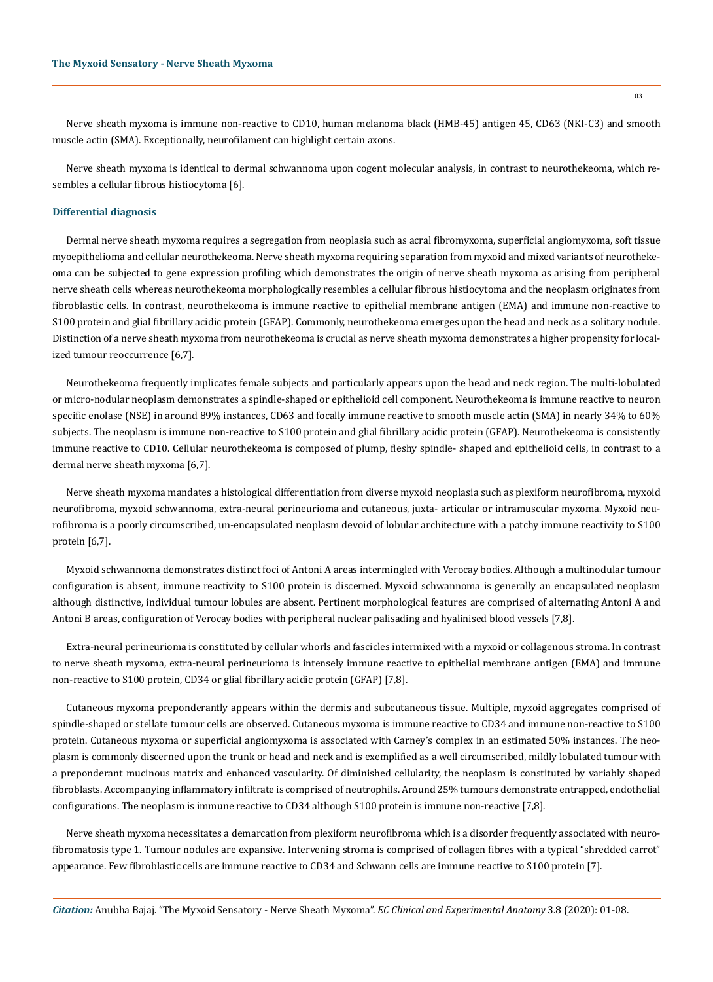Nerve sheath myxoma is immune non-reactive to CD10, human melanoma black (HMB-45) antigen 45, CD63 (NKI-C3) and smooth muscle actin (SMA). Exceptionally, neurofilament can highlight certain axons.

Nerve sheath myxoma is identical to dermal schwannoma upon cogent molecular analysis, in contrast to neurothekeoma, which resembles a cellular fibrous histiocytoma [6].

#### **Differential diagnosis**

Dermal nerve sheath myxoma requires a segregation from neoplasia such as acral fibromyxoma, superficial angiomyxoma, soft tissue myoepithelioma and cellular neurothekeoma. Nerve sheath myxoma requiring separation from myxoid and mixed variants of neurothekeoma can be subjected to gene expression profiling which demonstrates the origin of nerve sheath myxoma as arising from peripheral nerve sheath cells whereas neurothekeoma morphologically resembles a cellular fibrous histiocytoma and the neoplasm originates from fibroblastic cells. In contrast, neurothekeoma is immune reactive to epithelial membrane antigen (EMA) and immune non-reactive to S100 protein and glial fibrillary acidic protein (GFAP). Commonly, neurothekeoma emerges upon the head and neck as a solitary nodule. Distinction of a nerve sheath myxoma from neurothekeoma is crucial as nerve sheath myxoma demonstrates a higher propensity for localized tumour reoccurrence [6,7].

Neurothekeoma frequently implicates female subjects and particularly appears upon the head and neck region. The multi-lobulated or micro-nodular neoplasm demonstrates a spindle-shaped or epithelioid cell component. Neurothekeoma is immune reactive to neuron specific enolase (NSE) in around 89% instances, CD63 and focally immune reactive to smooth muscle actin (SMA) in nearly 34% to 60% subjects. The neoplasm is immune non-reactive to S100 protein and glial fibrillary acidic protein (GFAP). Neurothekeoma is consistently immune reactive to CD10. Cellular neurothekeoma is composed of plump, fleshy spindle- shaped and epithelioid cells, in contrast to a dermal nerve sheath myxoma [6,7].

Nerve sheath myxoma mandates a histological differentiation from diverse myxoid neoplasia such as plexiform neurofibroma, myxoid neurofibroma, myxoid schwannoma, extra-neural perineurioma and cutaneous, juxta- articular or intramuscular myxoma. Myxoid neurofibroma is a poorly circumscribed, un-encapsulated neoplasm devoid of lobular architecture with a patchy immune reactivity to S100 protein [6,7].

Myxoid schwannoma demonstrates distinct foci of Antoni A areas intermingled with Verocay bodies. Although a multinodular tumour configuration is absent, immune reactivity to S100 protein is discerned. Myxoid schwannoma is generally an encapsulated neoplasm although distinctive, individual tumour lobules are absent. Pertinent morphological features are comprised of alternating Antoni A and Antoni B areas, configuration of Verocay bodies with peripheral nuclear palisading and hyalinised blood vessels [7,8].

Extra-neural perineurioma is constituted by cellular whorls and fascicles intermixed with a myxoid or collagenous stroma. In contrast to nerve sheath myxoma, extra-neural perineurioma is intensely immune reactive to epithelial membrane antigen (EMA) and immune non-reactive to S100 protein, CD34 or glial fibrillary acidic protein (GFAP) [7,8].

Cutaneous myxoma preponderantly appears within the dermis and subcutaneous tissue. Multiple, myxoid aggregates comprised of spindle-shaped or stellate tumour cells are observed. Cutaneous myxoma is immune reactive to CD34 and immune non-reactive to S100 protein. Cutaneous myxoma or superficial angiomyxoma is associated with Carney's complex in an estimated 50% instances. The neoplasm is commonly discerned upon the trunk or head and neck and is exemplified as a well circumscribed, mildly lobulated tumour with a preponderant mucinous matrix and enhanced vascularity. Of diminished cellularity, the neoplasm is constituted by variably shaped fibroblasts. Accompanying inflammatory infiltrate is comprised of neutrophils. Around 25% tumours demonstrate entrapped, endothelial configurations. The neoplasm is immune reactive to CD34 although S100 protein is immune non-reactive [7,8].

Nerve sheath myxoma necessitates a demarcation from plexiform neurofibroma which is a disorder frequently associated with neurofibromatosis type 1. Tumour nodules are expansive. Intervening stroma is comprised of collagen fibres with a typical "shredded carrot" appearance. Few fibroblastic cells are immune reactive to CD34 and Schwann cells are immune reactive to S100 protein [7].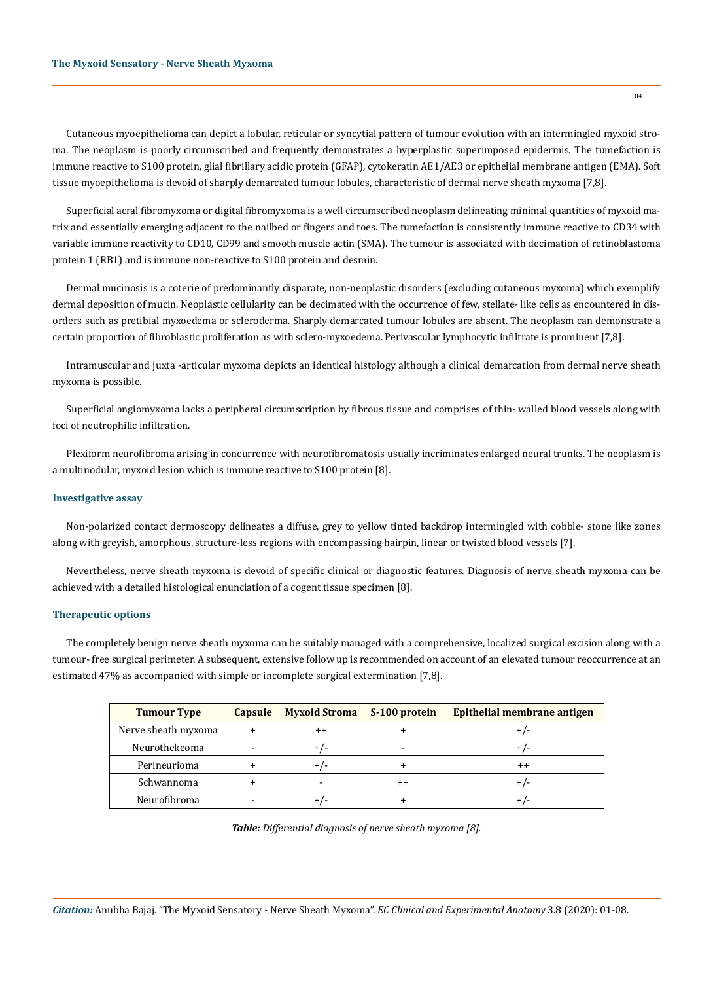Cutaneous myoepithelioma can depict a lobular, reticular or syncytial pattern of tumour evolution with an intermingled myxoid stroma. The neoplasm is poorly circumscribed and frequently demonstrates a hyperplastic superimposed epidermis. The tumefaction is immune reactive to S100 protein, glial fibrillary acidic protein (GFAP), cytokeratin AE1/AE3 or epithelial membrane antigen (EMA). Soft tissue myoepithelioma is devoid of sharply demarcated tumour lobules, characteristic of dermal nerve sheath myxoma [7,8].

Superficial acral fibromyxoma or digital fibromyxoma is a well circumscribed neoplasm delineating minimal quantities of myxoid matrix and essentially emerging adjacent to the nailbed or fingers and toes. The tumefaction is consistently immune reactive to CD34 with variable immune reactivity to CD10, CD99 and smooth muscle actin (SMA). The tumour is associated with decimation of retinoblastoma protein 1 (RB1) and is immune non-reactive to S100 protein and desmin.

Dermal mucinosis is a coterie of predominantly disparate, non-neoplastic disorders (excluding cutaneous myxoma) which exemplify dermal deposition of mucin. Neoplastic cellularity can be decimated with the occurrence of few, stellate- like cells as encountered in disorders such as pretibial myxoedema or scleroderma. Sharply demarcated tumour lobules are absent. The neoplasm can demonstrate a certain proportion of fibroblastic proliferation as with sclero-myxoedema. Perivascular lymphocytic infiltrate is prominent [7,8].

Intramuscular and juxta -articular myxoma depicts an identical histology although a clinical demarcation from dermal nerve sheath myxoma is possible.

Superficial angiomyxoma lacks a peripheral circumscription by fibrous tissue and comprises of thin- walled blood vessels along with foci of neutrophilic infiltration.

Plexiform neurofibroma arising in concurrence with neurofibromatosis usually incriminates enlarged neural trunks. The neoplasm is a multinodular, myxoid lesion which is immune reactive to S100 protein [8].

## **Investigative assay**

Non-polarized contact dermoscopy delineates a diffuse, grey to yellow tinted backdrop intermingled with cobble- stone like zones along with greyish, amorphous, structure-less regions with encompassing hairpin, linear or twisted blood vessels [7].

Nevertheless, nerve sheath myxoma is devoid of specific clinical or diagnostic features. Diagnosis of nerve sheath myxoma can be achieved with a detailed histological enunciation of a cogent tissue specimen [8].

### **Therapeutic options**

The completely benign nerve sheath myxoma can be suitably managed with a comprehensive, localized surgical excision along with a tumour- free surgical perimeter. A subsequent, extensive follow up is recommended on account of an elevated tumour reoccurrence at an estimated 47% as accompanied with simple or incomplete surgical extermination [7,8].

| <b>Tumour Type</b>  | <b>Capsule</b> | <b>Myxoid Stroma</b> | S-100 protein | Epithelial membrane antigen |
|---------------------|----------------|----------------------|---------------|-----------------------------|
| Nerve sheath myxoma |                | $^{++}$              |               | +/-                         |
| Neurothekeoma       | -              | + / -                |               | +/-                         |
| Perineurioma        |                | + / -                |               | $^{\mathrm{+}}$             |
| Schwannoma          |                |                      | $^{++}$       | +/-                         |
| Neurofibroma        |                |                      |               |                             |

*Table: Differential diagnosis of nerve sheath myxoma [8].*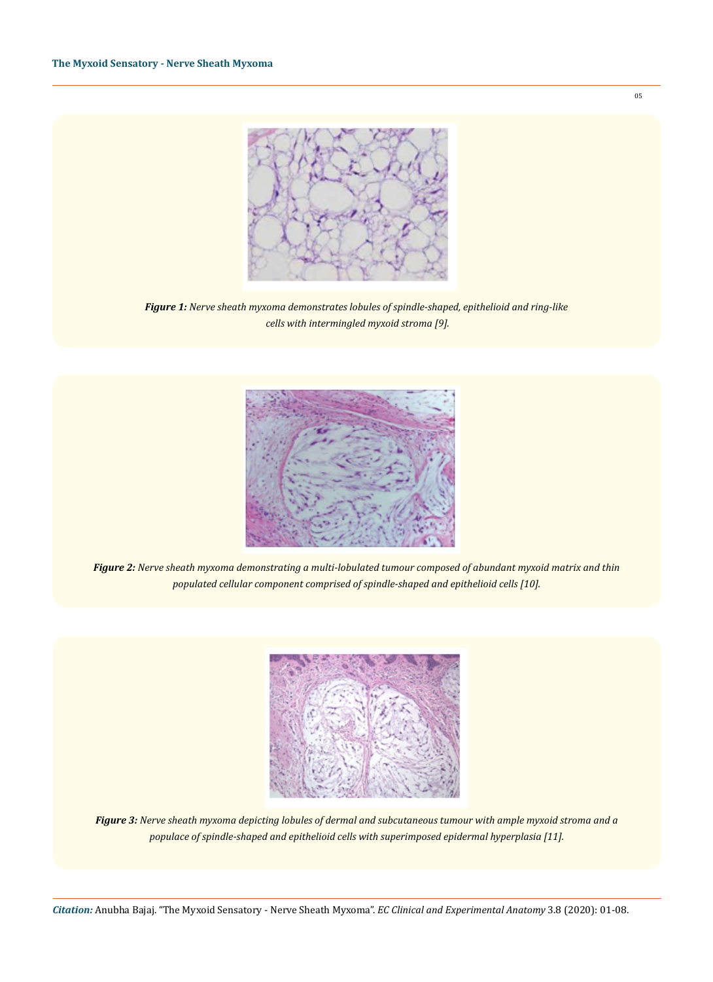

*Figure 1: Nerve sheath myxoma demonstrates lobules of spindle-shaped, epithelioid and ring-like cells with intermingled myxoid stroma [9].* 



*Figure 2: Nerve sheath myxoma demonstrating a multi-lobulated tumour composed of abundant myxoid matrix and thin populated cellular component comprised of spindle-shaped and epithelioid cells [10].* 



*Figure 3: Nerve sheath myxoma depicting lobules of dermal and subcutaneous tumour with ample myxoid stroma and a populace of spindle-shaped and epithelioid cells with superimposed epidermal hyperplasia [11].*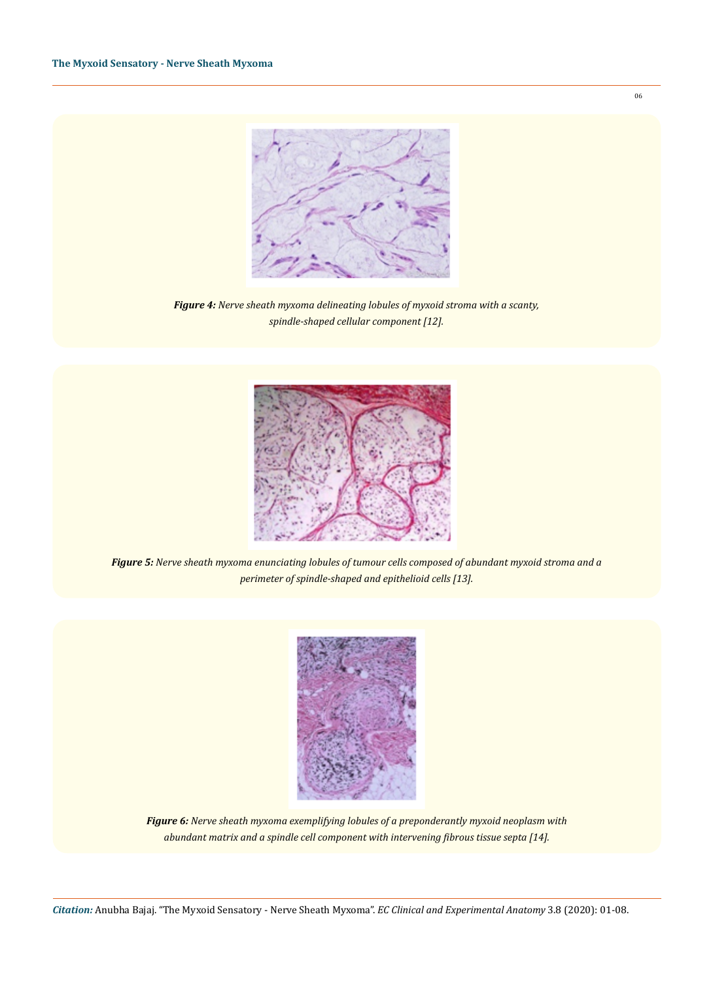

*Figure 4: Nerve sheath myxoma delineating lobules of myxoid stroma with a scanty, spindle-shaped cellular component [12].* 



*Figure 5: Nerve sheath myxoma enunciating lobules of tumour cells composed of abundant myxoid stroma and a perimeter of spindle-shaped and epithelioid cells [13].* 



*Figure 6: Nerve sheath myxoma exemplifying lobules of a preponderantly myxoid neoplasm with abundant matrix and a spindle cell component with intervening fibrous tissue septa [14].*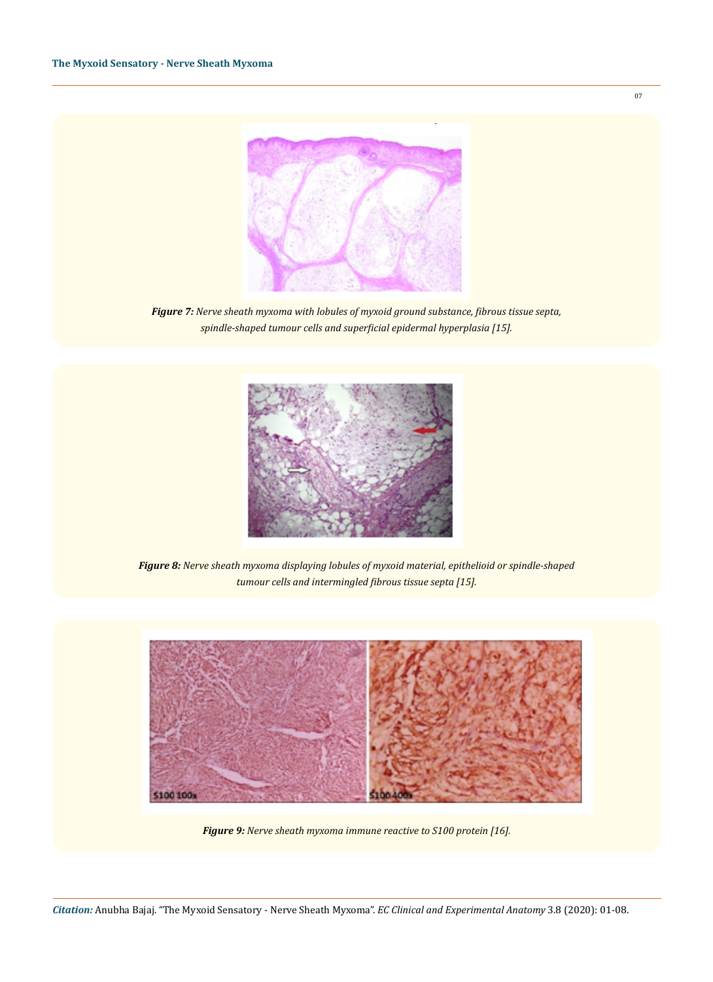

*Figure 7: Nerve sheath myxoma with lobules of myxoid ground substance, fibrous tissue septa, spindle-shaped tumour cells and superficial epidermal hyperplasia [15].* 



*Figure 8: Nerve sheath myxoma displaying lobules of myxoid material, epithelioid or spindle-shaped tumour cells and intermingled fibrous tissue septa [15].* 



*Figure 9: Nerve sheath myxoma immune reactive to S100 protein [16].*